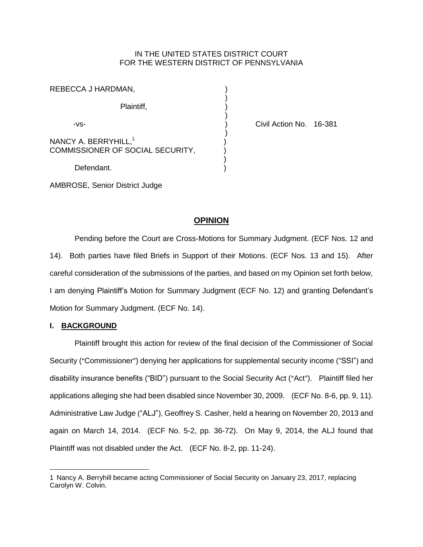## IN THE UNITED STATES DISTRICT COURT FOR THE WESTERN DISTRICT OF PENNSYLVANIA

| REBECCA J HARDMAN,                                                   |  |
|----------------------------------------------------------------------|--|
| Plaintiff,                                                           |  |
| -VS-                                                                 |  |
| NANCY A. BERRYHILL, <sup>1</sup><br>COMMISSIONER OF SOCIAL SECURITY, |  |
| Defendant.                                                           |  |

Civil Action No. 16-381

AMBROSE, Senior District Judge

# **OPINION**

Pending before the Court are Cross-Motions for Summary Judgment. (ECF Nos. 12 and 14). Both parties have filed Briefs in Support of their Motions. (ECF Nos. 13 and 15). After careful consideration of the submissions of the parties, and based on my Opinion set forth below, I am denying Plaintiff's Motion for Summary Judgment (ECF No. 12) and granting Defendant's Motion for Summary Judgment. (ECF No. 14).

## **I. BACKGROUND**

 $\overline{a}$ 

Plaintiff brought this action for review of the final decision of the Commissioner of Social Security ("Commissioner") denying her applications for supplemental security income ("SSI") and disability insurance benefits ("BID") pursuant to the Social Security Act ("Act"). Plaintiff filed her applications alleging she had been disabled since November 30, 2009. (ECF No. 8-6, pp. 9, 11). Administrative Law Judge ("ALJ"), Geoffrey S. Casher, held a hearing on November 20, 2013 and again on March 14, 2014. (ECF No. 5-2, pp. 36-72). On May 9, 2014, the ALJ found that Plaintiff was not disabled under the Act. (ECF No. 8-2, pp. 11-24).

<sup>1</sup> Nancy A. Berryhill became acting Commissioner of Social Security on January 23, 2017, replacing Carolyn W. Colvin.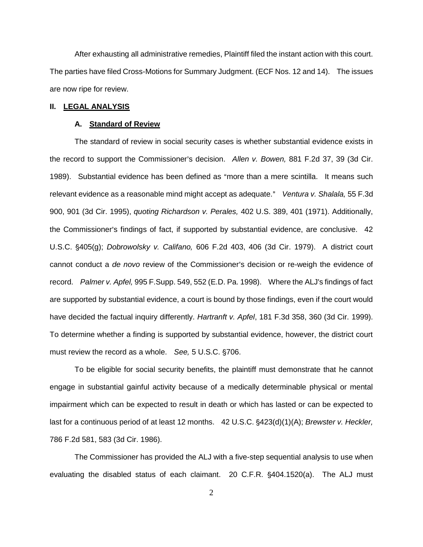After exhausting all administrative remedies, Plaintiff filed the instant action with this court. The parties have filed Cross-Motions for Summary Judgment. (ECF Nos. 12 and 14). The issues are now ripe for review.

### **II. LEGAL ANALYSIS**

#### **A. Standard of Review**

The standard of review in social security cases is whether substantial evidence exists in the record to support the Commissioner's decision. Allen v. Bowen, 881 F.2d 37, 39 (3d Cir. 1989). Substantial evidence has been defined as "more than a mere scintilla. It means such relevant evidence as a reasonable mind might accept as adequate." Ventura v. Shalala, 55 F.3d 900, 901 (3d Cir. 1995), *quoting Richardson v. Perales,* 402 U.S. 389, 401 (1971). Additionally, the Commissioner's findings of fact, if supported by substantial evidence, are conclusive. 42 U.S.C. '405(g); *Dobrowolsky v. Califano,* 606 F.2d 403, 406 (3d Cir. 1979). A district court cannot conduct a *de novo* review of the Commissioner's decision or re-weigh the evidence of record. *Palmer v. Apfel,* 995 F.Supp. 549, 552 (E.D. Pa. 1998). Where the ALJ's findings of fact are supported by substantial evidence, a court is bound by those findings, even if the court would have decided the factual inquiry differently. *Hartranft v. Apfel*, 181 F.3d 358, 360 (3d Cir. 1999). To determine whether a finding is supported by substantial evidence, however, the district court must review the record as a whole. *See,* 5 U.S.C. §706.

To be eligible for social security benefits, the plaintiff must demonstrate that he cannot engage in substantial gainful activity because of a medically determinable physical or mental impairment which can be expected to result in death or which has lasted or can be expected to last for a continuous period of at least 12 months. 42 U.S.C. §423(d)(1)(A); *Brewster v. Heckler,* 786 F.2d 581, 583 (3d Cir. 1986).

The Commissioner has provided the ALJ with a five-step sequential analysis to use when evaluating the disabled status of each claimant. 20 C.F.R. §404.1520(a). The ALJ must

2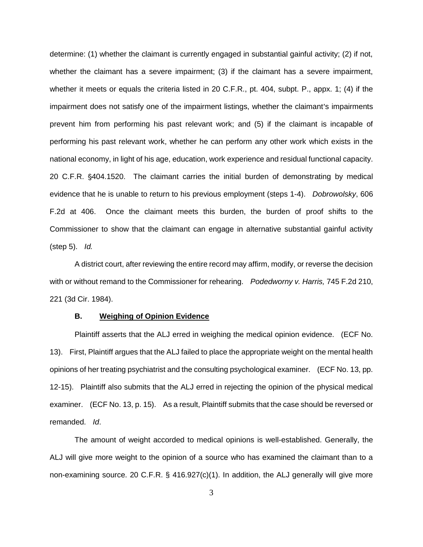determine: (1) whether the claimant is currently engaged in substantial gainful activity; (2) if not, whether the claimant has a severe impairment; (3) if the claimant has a severe impairment, whether it meets or equals the criteria listed in 20 C.F.R., pt. 404, subpt. P., appx. 1; (4) if the impairment does not satisfy one of the impairment listings, whether the claimant's impairments prevent him from performing his past relevant work; and (5) if the claimant is incapable of performing his past relevant work, whether he can perform any other work which exists in the national economy, in light of his age, education, work experience and residual functional capacity. 20 C.F.R. '404.1520. The claimant carries the initial burden of demonstrating by medical evidence that he is unable to return to his previous employment (steps 1-4). *Dobrowolsky*, 606 F.2d at 406. Once the claimant meets this burden, the burden of proof shifts to the Commissioner to show that the claimant can engage in alternative substantial gainful activity (step 5). *Id.*

A district court, after reviewing the entire record may affirm, modify, or reverse the decision with or without remand to the Commissioner for rehearing. *Podedworny v. Harris,* 745 F.2d 210, 221 (3d Cir. 1984).

#### **B. Weighing of Opinion Evidence**

Plaintiff asserts that the ALJ erred in weighing the medical opinion evidence. (ECF No. 13). First, Plaintiff argues that the ALJ failed to place the appropriate weight on the mental health opinions of her treating psychiatrist and the consulting psychological examiner. (ECF No. 13, pp. 12-15). Plaintiff also submits that the ALJ erred in rejecting the opinion of the physical medical examiner. (ECF No. 13, p. 15). As a result, Plaintiff submits that the case should be reversed or remanded. *Id*.

The amount of weight accorded to medical opinions is well-established. Generally, the ALJ will give more weight to the opinion of a source who has examined the claimant than to a non-examining source. 20 C.F.R. § 416.927(c)(1). In addition, the ALJ generally will give more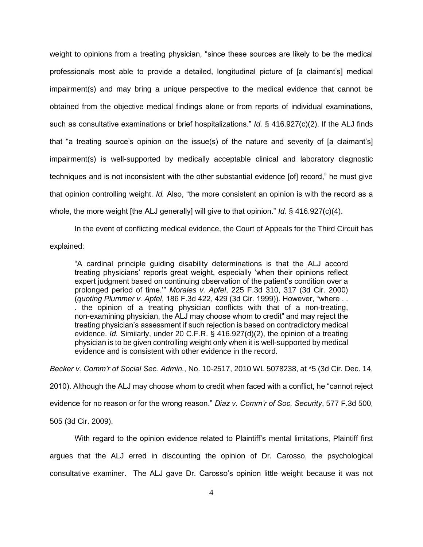weight to opinions from a treating physician, "since these sources are likely to be the medical professionals most able to provide a detailed, longitudinal picture of [a claimant's] medical impairment(s) and may bring a unique perspective to the medical evidence that cannot be obtained from the objective medical findings alone or from reports of individual examinations, such as consultative examinations or brief hospitalizations." *Id.* § 416.927(c)(2). If the ALJ finds that "a treating source's opinion on the issue(s) of the nature and severity of [a claimant's] impairment(s) is well-supported by medically acceptable clinical and laboratory diagnostic techniques and is not inconsistent with the other substantial evidence [of] record," he must give that opinion controlling weight. *Id.* Also, "the more consistent an opinion is with the record as a whole, the more weight [the ALJ generally] will give to that opinion." *Id.* § 416.927(c)(4).

In the event of conflicting medical evidence, the Court of Appeals for the Third Circuit has explained:

"A cardinal principle guiding disability determinations is that the ALJ accord treating physicians' reports great weight, especially 'when their opinions reflect expert judgment based on continuing observation of the patient's condition over a prolonged period of time.'" *Morales v. Apfel*, 225 F.3d 310, 317 (3d Cir. 2000) (*quoting Plummer v. Apfel*, 186 F.3d 422, 429 (3d Cir. 1999)). However, "where . . . the opinion of a treating physician conflicts with that of a non-treating, non-examining physician, the ALJ may choose whom to credit" and may reject the treating physician's assessment if such rejection is based on contradictory medical evidence. *Id.* Similarly, under 20 C.F.R. § 416.927(d)(2), the opinion of a treating physician is to be given controlling weight only when it is well-supported by medical evidence and is consistent with other evidence in the record.

*Becker v. Comm'r of Social Sec. Admin.*, No. 10-2517, 2010 WL 5078238, at \*5 (3d Cir. Dec. 14, 2010). Although the ALJ may choose whom to credit when faced with a conflict, he "cannot reject evidence for no reason or for the wrong reason." *Diaz v. Comm'r of Soc. Security*, 577 F.3d 500, 505 (3d Cir. 2009).

With regard to the opinion evidence related to Plaintiff's mental limitations, Plaintiff first argues that the ALJ erred in discounting the opinion of Dr. Carosso, the psychological consultative examiner. The ALJ gave Dr. Carosso's opinion little weight because it was not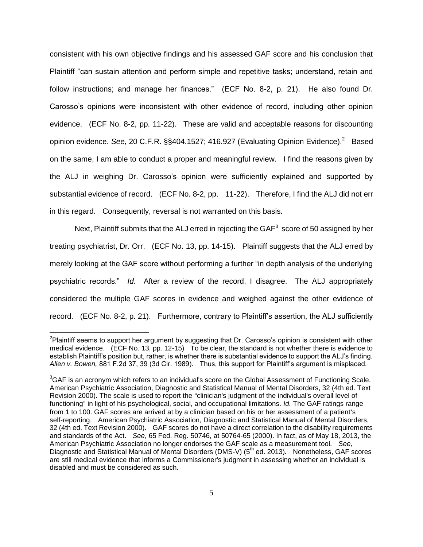consistent with his own objective findings and his assessed GAF score and his conclusion that Plaintiff "can sustain attention and perform simple and repetitive tasks; understand, retain and follow instructions; and manage her finances." (ECF No. 8-2, p. 21). He also found Dr. Carosso's opinions were inconsistent with other evidence of record, including other opinion evidence. (ECF No. 8-2, pp. 11-22). These are valid and acceptable reasons for discounting opinion evidence. See, 20 C.F.R. §§404.1527; 416.927 (Evaluating Opinion Evidence).<sup>2</sup> Based on the same, I am able to conduct a proper and meaningful review. I find the reasons given by the ALJ in weighing Dr. Carosso's opinion were sufficiently explained and supported by substantial evidence of record. (ECF No. 8-2, pp. 11-22). Therefore, I find the ALJ did not err in this regard. Consequently, reversal is not warranted on this basis.

Next, Plaintiff submits that the ALJ erred in rejecting the GAF $^3$  score of 50 assigned by her treating psychiatrist, Dr. Orr. (ECF No. 13, pp. 14-15). Plaintiff suggests that the ALJ erred by merely looking at the GAF score without performing a further "in depth analysis of the underlying psychiatric records." *Id.* After a review of the record, I disagree. The ALJ appropriately considered the multiple GAF scores in evidence and weighed against the other evidence of record. (ECF No. 8-2, p. 21). Furthermore, contrary to Plaintiff's assertion, the ALJ sufficiently

 $\overline{a}$ 

<sup>&</sup>lt;sup>2</sup>Plaintiff seems to support her argument by suggesting that Dr. Carosso's opinion is consistent with other medical evidence. (ECF No. 13, pp. 12-15) To be clear, the standard is not whether there is evidence to establish Plaintiff's position but, rather, is whether there is substantial evidence to support the ALJ's finding. *Allen v. Bowen,* 881 F.2d 37, 39 (3d Cir. 1989). Thus, this support for Plaintiff's argument is misplaced.

 ${}^{3}$ GAF is an acronym which refers to an individual's score on the Global Assessment of Functioning Scale. American Psychiatric Association, Diagnostic and Statistical Manual of Mental Disorders, 32 (4th ed. Text Revision 2000). The scale is used to report the "clinician's judgment of the individual's overall level of functioning" in light of his psychological, social, and occupational limitations. *Id.* The GAF ratings range from 1 to 100. GAF scores are arrived at by a clinician based on his or her assessment of a patient's self-reporting. American Psychiatric Association, Diagnostic and Statistical Manual of Mental Disorders, 32 (4th ed. Text Revision 2000). GAF scores do not have a direct correlation to the disability requirements and standards of the Act. *See*, 65 Fed. Reg. 50746, at 50764-65 (2000). In fact, as of May 18, 2013, the American Psychiatric Association no longer endorses the GAF scale as a measurement tool. *See,*  Diagnostic and Statistical Manual of Mental Disorders (DMS-V) (5<sup>th</sup> ed. 2013). Nonetheless, GAF scores are still medical evidence that informs a Commissioner's judgment in assessing whether an individual is disabled and must be considered as such.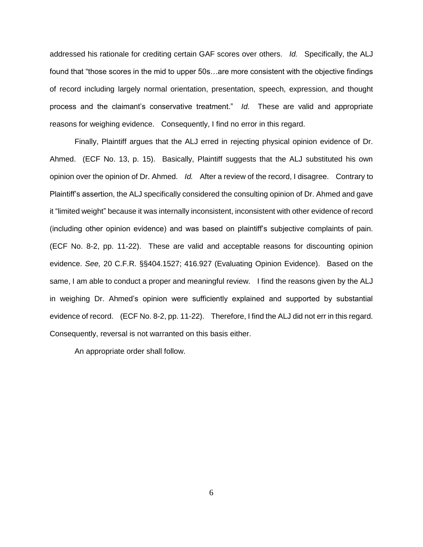addressed his rationale for crediting certain GAF scores over others. *Id.* Specifically, the ALJ found that "those scores in the mid to upper 50s…are more consistent with the objective findings of record including largely normal orientation, presentation, speech, expression, and thought process and the claimant's conservative treatment." *Id.* These are valid and appropriate reasons for weighing evidence. Consequently, I find no error in this regard.

Finally, Plaintiff argues that the ALJ erred in rejecting physical opinion evidence of Dr. Ahmed. (ECF No. 13, p. 15). Basically, Plaintiff suggests that the ALJ substituted his own opinion over the opinion of Dr. Ahmed. *Id.* After a review of the record, I disagree. Contrary to Plaintiff's assertion, the ALJ specifically considered the consulting opinion of Dr. Ahmed and gave it "limited weight" because it was internally inconsistent, inconsistent with other evidence of record (including other opinion evidence) and was based on plaintiff's subjective complaints of pain. (ECF No. 8-2, pp. 11-22). These are valid and acceptable reasons for discounting opinion evidence. *See,* 20 C.F.R. §§404.1527; 416.927 (Evaluating Opinion Evidence). Based on the same, I am able to conduct a proper and meaningful review. I find the reasons given by the ALJ in weighing Dr. Ahmed's opinion were sufficiently explained and supported by substantial evidence of record. (ECF No. 8-2, pp. 11-22). Therefore, I find the ALJ did not err in this regard. Consequently, reversal is not warranted on this basis either.

An appropriate order shall follow.

6